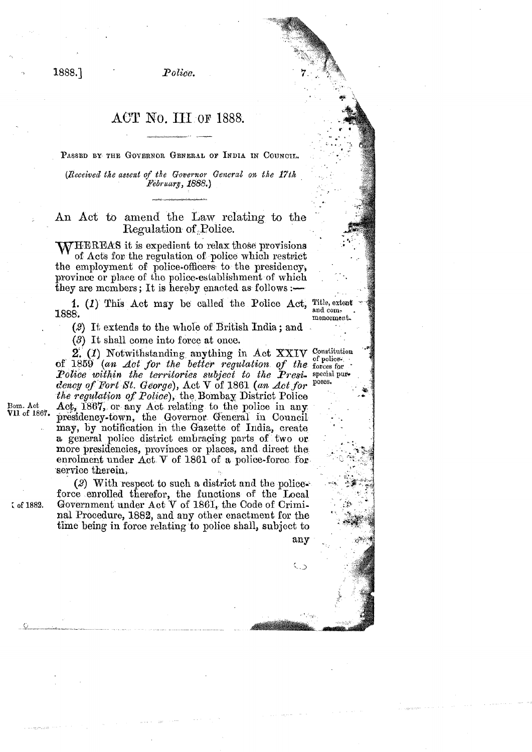Police.

## ACT No. III OF 1888.

PASSED BY THE GOVERNOR GENERAL OF INDIA IN COUNCIL.

(Received the assent of the Governor General on the 17th February, 1888.)

An Act to amend the Law relating to the Regulation of Police.

**WHEREAS** it is expedient to relax those provisions of Acts for the regulation of police which restrict the employment of police-officers to the presidency,<br>province or place of the police-establishment of which they are members; It is hereby enacted as follows :—

1. (1) This Act may be called the Police Act, Title, extent and com-1888. menoement.

(2) It extends to the whole of British India; and

(3) It shall come into force at once.

2. (1) Notwithstanding anything in Act XXIV Constitution of 1859 (an Act for the better regulation of the forces for Police within the territories subject to the Presi- special purposes. dency of Fort St. George), Act V of 1861 (an Act for the regulation of Police), the Bombay District Police Act, 1867, or any Act relating to the police in any presidency-town, the Governor General in Council may, by notification in the Gazette of India, create a general police district embracing parts of two or more presidencies, provinces or places, and direct the enrolment under Act V of 1861 of a police-force for service therein,

(2) With respect to such a district and the policeforce enrolled therefor, the functions of the Local Government under Act V of 1861, the Code of Criminal Procedure, 1882, and any other enactment for the time being in force relating to police shall, subject to

any

 $\zeta$ 

Bom. Act V11 of 1867. 1888.1

ζ of 1882.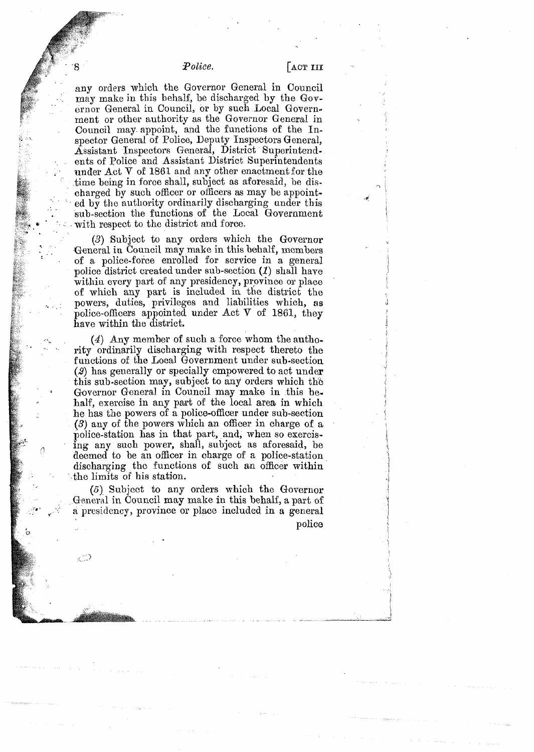## *Police.*

@

Ω

9ن

 $f$  any orders which the Governor General in Council  $f$ may make in this behalf, be discharged by the Governor General in Council, or by such Local Government or other authority as the Governor General in Council may appoint, and the functions of the  $In$ spector General of Police, Deputy Inspectors General. Assistant Inspectors General, District Superintendents of Police and Assistant District Superintendents under  $Act$  V of 1861 and any other enactment for the time being in force shall, subject as aforesaid, be distime being in force shall, subject as aforesaid, be discharged by such officer or officers as may be appointed by the authority ordinarily discharging under this charged by such officer or officers as may be appointed by the authority ordinarily discharging under this sub-section the functions of the Local Government sub-section the functions of the Local Government with respect to the district and force.

> *(3)* Subject to any orders which the Governor General in Council may make in this behalf, members of a police-focce enrolled for service in a general police district created under sub-section  $(1)$  shall have within every part of any presidency, province or place of which any part is included in the district the payers, duties, privileges and liabilities which, **as**  police-officers appointed under  $Act$  V of 1861, they have within the district.

> *(4)* Any member of such a force whom the authority ordinarily discharging with respect thereto the functions of the Local Government under sub-section **(2)** has generally or specially empowered to act under this sub-section may, subject to any orders which the Governor General in Council may make in this be. half, exercise in any part of the local area in which he has the powers of a police-officer under sub-section **(3)** any of the powers which an officer in charge of a police-station has in that part, and, when so exercising any such power, shall, subject as aforesaid, be deemed to be an officer in oharge of a police-station discharging the functions of such an officer within the limits of his station.

> (5) Subject to any orders which the Governor General in Council may make in this behalf, a part of a presidency, province or place included in a general police